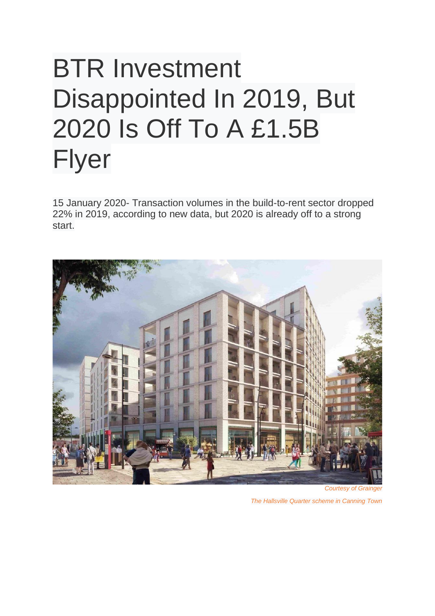## BTR Investment Disappointed In 2019, But 2020 Is Off To A £1.5B Flyer

15 January 2020- Transaction volumes in the build-to-rent sector dropped 22% in 2019, according to new data, but 2020 is already off to a strong start.



**Courtesy of Graing** 

*The Hallsville Quarter scheme in Canning Town*